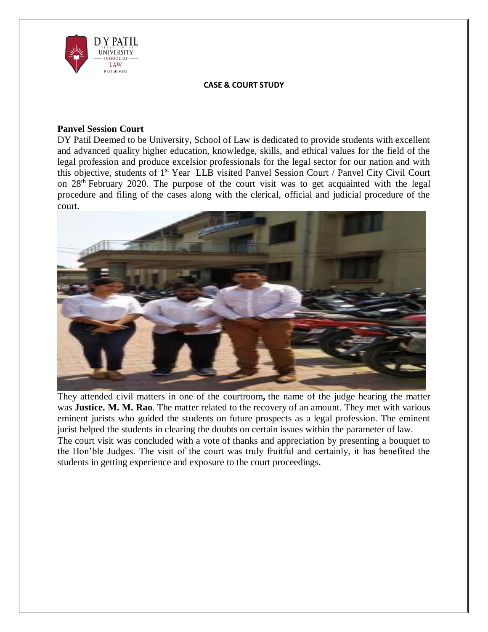

#### **CASE & COURT STUDY**

# **Panvel Session Court**

DY Patil Deemed to be University, School of Law is dedicated to provide students with excellent and advanced quality higher education, knowledge, skills, and ethical values for the field of the legal profession and produce excelsior professionals for the legal sector for our nation and with this objective, students of 1<sup>st</sup> Year LLB visited Panvel Session Court / Panvel City Civil Court on 28<sup>th</sup> February 2020. The purpose of the court visit was to get acquainted with the legal procedure and filing of the cases along with the clerical, official and judicial procedure of the court.



They attended civil matters in one of the courtroom**,** the name of the judge hearing the matter was **Justice. M. M. Rao**. The matter related to the recovery of an amount. They met with various eminent jurists who guided the students on future prospects as a legal profession. The eminent jurist helped the students in clearing the doubts on certain issues within the parameter of law. The court visit was concluded with a vote of thanks and appreciation by presenting a bouquet to the Hon'ble Judges. The visit of the court was truly fruitful and certainly, it has benefited the

students in getting experience and exposure to the court proceedings.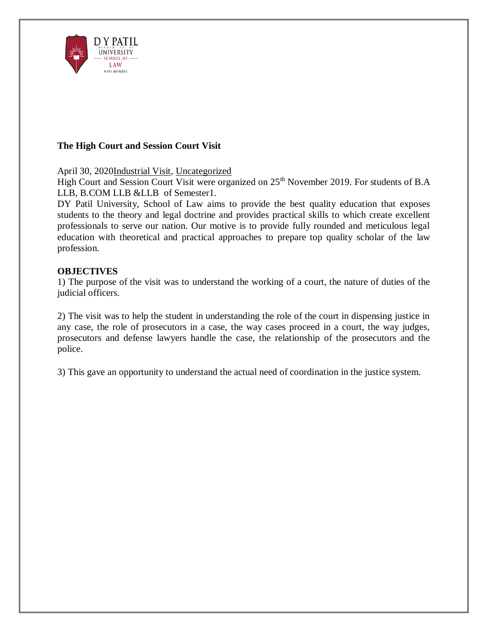

# **The High Court and Session Court Visit**

April 30, 202[0Industrial](http://www.dypatil.edu/schools/schooloflaw/category/industrial-visit/) Visit, [Uncategorized](http://www.dypatil.edu/schools/schooloflaw/category/uncategorized/)

High Court and Session Court Visit were organized on 25<sup>th</sup> November 2019. For students of B.A LLB, B.COM LLB &LLB of Semester1.

DY Patil University, School of Law aims to provide the best quality education that exposes students to the theory and legal doctrine and provides practical skills to which create excellent professionals to serve our nation. Our motive is to provide fully rounded and meticulous legal education with theoretical and practical approaches to prepare top quality scholar of the law profession.

# **OBJECTIVES**

1) The purpose of the visit was to understand the working of a court, the nature of duties of the judicial officers.

2) The visit was to help the student in understanding the role of the court in dispensing justice in any case, the role of prosecutors in a case, the way cases proceed in a court, the way judges, prosecutors and defense lawyers handle the case, the relationship of the prosecutors and the police.

3) This gave an opportunity to understand the actual need of coordination in the justice system.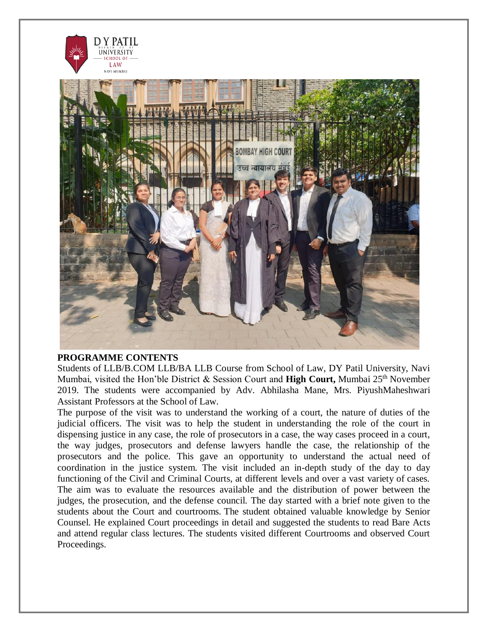

#### **PROGRAMME CONTENTS**

Students of LLB/B.COM LLB/BA LLB Course from School of Law, DY Patil University, Navi Mumbai, visited the Hon'ble District & Session Court and **High Court**, Mumbai 25<sup>th</sup> November 2019. The students were accompanied by Adv. Abhilasha Mane, Mrs. PiyushMaheshwari Assistant Professors at the School of Law.

The purpose of the visit was to understand the working of a court, the nature of duties of the judicial officers. The visit was to help the student in understanding the role of the court in dispensing justice in any case, the role of prosecutors in a case, the way cases proceed in a court, the way judges, prosecutors and defense lawyers handle the case, the relationship of the prosecutors and the police. This gave an opportunity to understand the actual need of coordination in the justice system. The visit included an in-depth study of the day to day functioning of the Civil and Criminal Courts, at different levels and over a vast variety of cases. The aim was to evaluate the resources available and the distribution of power between the judges, the prosecution, and the defense council. The day started with a brief note given to the students about the Court and courtrooms. The student obtained valuable knowledge by Senior Counsel. He explained Court proceedings in detail and suggested the students to read Bare Acts and attend regular class lectures. The students visited different Courtrooms and observed Court Proceedings.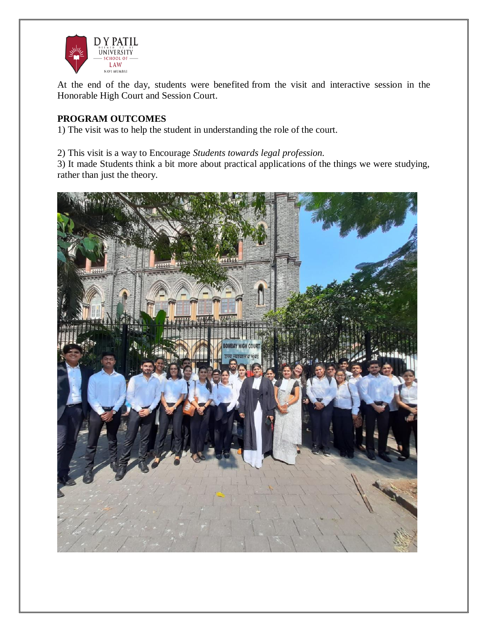

At the end of the day, students were benefited from the visit and interactive session in the Honorable High Court and Session Court.

# **PROGRAM OUTCOMES**

1) The visit was to help the student in understanding the role of the court.

# 2) This visit is a way to Encourage *Students towards legal profession.*

3) It made Students think a bit more about practical applications of the things we were studying, rather than just the theory.